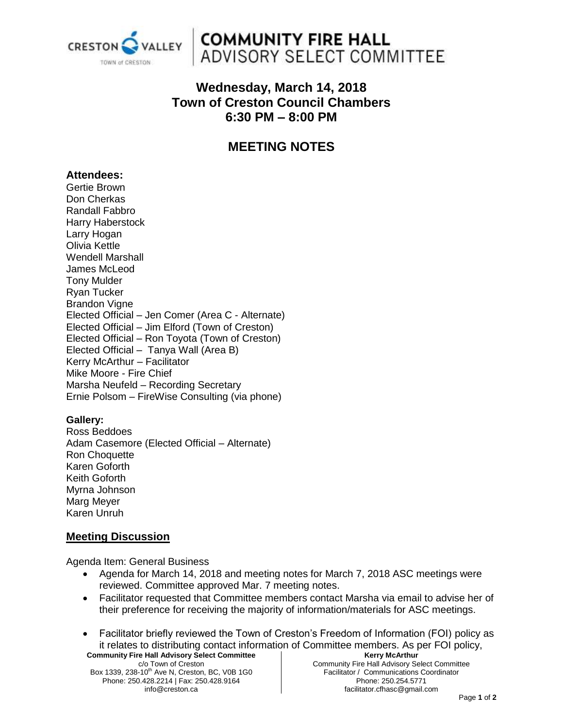

## **COMMUNITY FIRE HALL** ADVISORY SELECT COMMITTEE

## **Wednesday, March 14, 2018 Town of Creston Council Chambers 6:30 PM – 8:00 PM**

## **MEETING NOTES**

#### **Attendees:**

Gertie Brown Don Cherkas Randall Fabbro Harry Haberstock Larry Hogan Olivia Kettle Wendell Marshall James McLeod Tony Mulder Ryan Tucker Brandon Vigne Elected Official – Jen Comer (Area C - Alternate) Elected Official – Jim Elford (Town of Creston) Elected Official – Ron Toyota (Town of Creston) Elected Official – Tanya Wall (Area B) Kerry McArthur – Facilitator Mike Moore - Fire Chief Marsha Neufeld – Recording Secretary Ernie Polsom – FireWise Consulting (via phone)

#### **Gallery:**

Ross Beddoes Adam Casemore (Elected Official – Alternate) Ron Choquette Karen Goforth Keith Goforth Myrna Johnson Marg Meyer Karen Unruh

#### **Meeting Discussion**

Agenda Item: General Business

- Agenda for March 14, 2018 and meeting notes for March 7, 2018 ASC meetings were reviewed. Committee approved Mar. 7 meeting notes.
- Facilitator requested that Committee members contact Marsha via email to advise her of their preference for receiving the majority of information/materials for ASC meetings.
- **Community Fire Hall Advisory Select Committee Kerry McArthur** Facilitator briefly reviewed the Town of Creston's Freedom of Information (FOI) policy as it relates to distributing contact information of Committee members. As per FOI policy,

c/o Town of Creston Box 1339, 238-10<sup>th</sup> Ave N, Creston, BC, V0B 1G0 Phone: 250.428.2214 | Fax: 250.428.9164 info@creston.ca

Community Fire Hall Advisory Select Committee Facilitator / Communications Coordinator Phone: 250.254.5771 facilitator.cfhasc@gmail.com